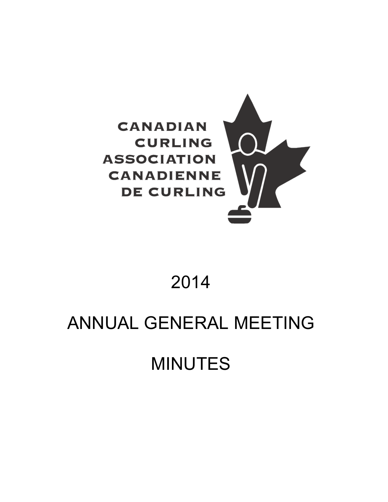

# 2014

# ANNUAL GENERAL MEETING

# MINUTES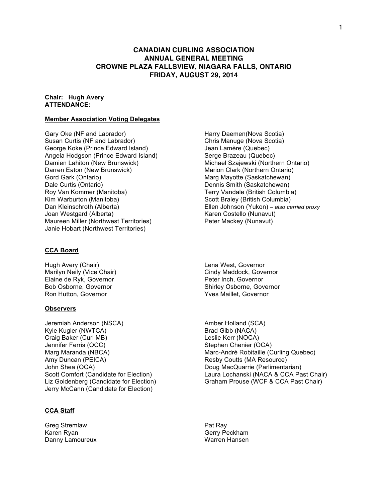# **CANADIAN CURLING ASSOCIATION ANNUAL GENERAL MEETING CROWNE PLAZA FALLSVIEW, NIAGARA FALLS, ONTARIO FRIDAY, AUGUST 29, 2014**

#### **Chair: Hugh Avery ATTENDANCE:**

#### **Member Association Voting Delegates**

Gary Oke (NF and Labrador) **Harry Daemen(Nova Scotia)** Harry Daemen(Nova Scotia) Susan Curtis (NF and Labrador) Chris Manuge (Nova Scotia) George Koke (Prince Edward Island) Jean Lamère (Quebec) Angela Hodgson (Prince Edward Island) Serge Brazeau (Quebec) Damien Lahiton (New Brunswick) Michael Szajewski (Northern Ontario) Darren Eaton (New Brunswick) Marion Clark (Northern Ontario) Gord Gark (Ontario) Marg Mayotte (Saskatchewan) Dale Curtis (Ontario) Dennis Smith (Saskatchewan) Roy Van Kommer (Manitoba) Terry Vandale (British Columbia) Kim Warburton (Manitoba) Scott Braley (British Columbia) Joan Westgard (Alberta) Karen Costello (Nunavut) Maureen Miller (Northwest Territories) Peter Mackey (Nunavut) Janie Hobart (Northwest Territories)

#### **CCA Board**

Hugh Avery (Chair) Lena West, Governor Elaine de Ryk, Governor **Peter Inch, Governor** Ron Hutton, Governor **National Accord Contract Contract Accord Provident** Yves Maillet, Governor

#### **Observers**

Jeremiah Anderson (NSCA) and the Amber Holland (SCA) Kyle Kugler (NWTCA) Brad Gibb (NACA) Craig Baker (Curl MB) Leslie Kerr (NOCA) Jennifer Ferris (OCC)<br>
Marg Maranda (NBCA) Stephen Chenier (OCA)<br>
Marc-André Robitaille (C Amy Duncan (PEICA) **Resource** Resby Coutts (MA Resource) John Shea (OCA)<br>
Scott Comfort (Candidate for Election) Laura Lochanski (NACA & CCA Pa Jerry McCann (Candidate for Election)

#### **CCA Staff**

Greg Stremlaw **Pat Ray** Karen Ryan Gerry Peckham Danny Lamoureux Warren Hansen

Dan Kleinschroth (Alberta) Ellen Johnson (Yukon) *– also carried proxy*

Marilyn Neily (Vice Chair) Marilyn Neily (Vice Chair) Cindy Maddock, Governor Bob Osborne, Governor Shirley Osborne, Governor

Marc-André Robitaille (Curling Quebec) Laura Lochanski (NACA & CCA Past Chair) Liz Goldenberg (Candidate for Election) Graham Prouse (WCF & CCA Past Chair)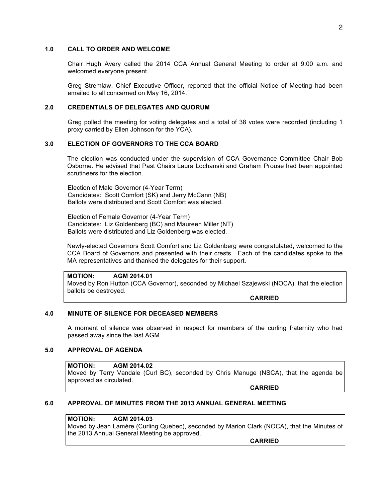### **1.0 CALL TO ORDER AND WELCOME**

Chair Hugh Avery called the 2014 CCA Annual General Meeting to order at 9:00 a.m. and welcomed everyone present.

Greg Stremlaw, Chief Executive Officer, reported that the official Notice of Meeting had been emailed to all concerned on May 16, 2014.

#### **2.0 CREDENTIALS OF DELEGATES AND QUORUM**

Greg polled the meeting for voting delegates and a total of 38 votes were recorded (including 1 proxy carried by Ellen Johnson for the YCA).

#### **3.0 ELECTION OF GOVERNORS TO THE CCA BOARD**

The election was conducted under the supervision of CCA Governance Committee Chair Bob Osborne. He advised that Past Chairs Laura Lochanski and Graham Prouse had been appointed scrutineers for the election.

Election of Male Governor (4-Year Term) Candidates: Scott Comfort (SK) and Jerry McCann (NB) Ballots were distributed and Scott Comfort was elected.

Election of Female Governor (4-Year Term) Candidates: Liz Goldenberg (BC) and Maureen Miller (NT) Ballots were distributed and Liz Goldenberg was elected.

Newly-elected Governors Scott Comfort and Liz Goldenberg were congratulated, welcomed to the CCA Board of Governors and presented with their crests. Each of the candidates spoke to the MA representatives and thanked the delegates for their support.

**MOTION: AGM 2014.01** Moved by Ron Hutton (CCA Governor), seconded by Michael Szajewski (NOCA), that the election ballots be destroyed.

**CARRIED**

### **4.0 MINUTE OF SILENCE FOR DECEASED MEMBERS**

A moment of silence was observed in respect for members of the curling fraternity who had passed away since the last AGM.

#### **5.0 APPROVAL OF AGENDA**

**MOTION: AGM 2014.02** Moved by Terry Vandale (Curl BC), seconded by Chris Manuge (NSCA), that the agenda be approved as circulated.

**CARRIED**

#### **6.0 APPROVAL OF MINUTES FROM THE 2013 ANNUAL GENERAL MEETING**

**MOTION: AGM 2014.03** Moved by Jean Lamère (Curling Quebec), seconded by Marion Clark (NOCA), that the Minutes of the 2013 Annual General Meeting be approved.

**CARRIED**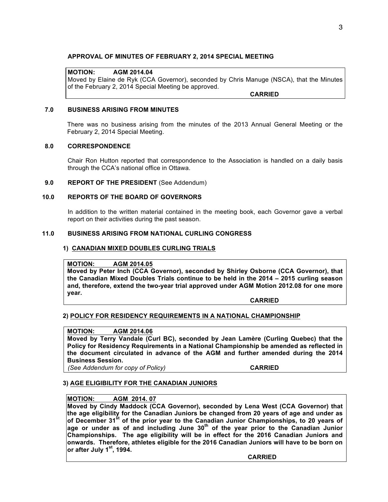## **APPROVAL OF MINUTES OF FEBRUARY 2, 2014 SPECIAL MEETING**

# **MOTION: AGM 2014.04**

Moved by Elaine de Ryk (CCA Governor), seconded by Chris Manuge (NSCA), that the Minutes of the February 2, 2014 Special Meeting be approved.

**CARRIED**

#### **7.0 BUSINESS ARISING FROM MINUTES**

There was no business arising from the minutes of the 2013 Annual General Meeting or the February 2, 2014 Special Meeting.

#### **8.0 CORRESPONDENCE**

Chair Ron Hutton reported that correspondence to the Association is handled on a daily basis through the CCA's national office in Ottawa.

#### **9.0 REPORT OF THE PRESIDENT** (See Addendum)

#### **10.0 REPORTS OF THE BOARD OF GOVERNORS**

In addition to the written material contained in the meeting book, each Governor gave a verbal report on their activities during the past season.

# **11.0 BUSINESS ARISING FROM NATIONAL CURLING CONGRESS**

### **1) CANADIAN MIXED DOUBLES CURLING TRIALS**

#### **MOTION: AGM 2014.05**

**Moved by Peter Inch (CCA Governor), seconded by Shirley Osborne (CCA Governor), that the Canadian Mixed Doubles Trials continue to be held in the 2014 – 2015 curling season and, therefore, extend the two-year trial approved under AGM Motion 2012.08 for one more year.**

#### **CARRIED**

#### **2) POLICY FOR RESIDENCY REQUIREMENTS IN A NATIONAL CHAMPIONSHIP**

# **MOTION: AGM 2014.06**

**Moved by Terry Vandale (Curl BC), seconded by Jean Lamère (Curling Quebec) that the Policy for Residency Requirements in a National Championship be amended as reflected in the document circulated in advance of the AGM and further amended during the 2014 Business Session.**

*(See Addendum for copy of Policy)* **CARRIED**

#### **3) AGE ELIGIBILITY FOR THE CANADIAN JUNIORS**

# **MOTION: AGM 2014. 07**

**Moved by Cindy Maddock (CCA Governor), seconded by Lena West (CCA Governor) that the age eligibility for the Canadian Juniors be changed from 20 years of age and under as of December 31st of the prior year to the Canadian Junior Championships, to 20 years of age or under as of and including June 30th of the year prior to the Canadian Junior Championships. The age eligibility will be in effect for the 2016 Canadian Juniors and onwards. Therefore, athletes eligible for the 2016 Canadian Juniors will have to be born on or after July 1st, 1994.**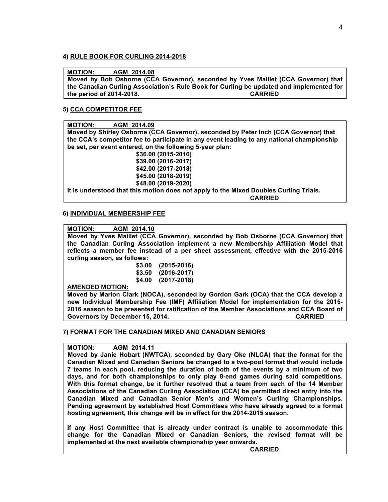### **4) RULE BOOK FOR CURLING 2014-2018**

### **MOTION: AGM 2014.08**

**Moved by Bob Osborne (CCA Governor), seconded by Yves Maillet (CCA Governor) that the Canadian Curling Association's Rule Book for Curling be updated and implemented for the period of 2014-2018. CARRIED** 

# **5) CCA COMPETITOR FEE**

**MOTION: AGM 2014.09 Moved by Shirley Osborne (CCA Governor), seconded by Peter Inch (CCA Governor) that the CCA's competitor fee to participate in any event leading to any national championship be set, per event entered, on the following 5-year plan: \$36.00 (2015-2016)**

**\$39.00 (2016-2017) \$42.00 (2017-2018) \$45.00 (2018-2019) \$48.00 (2019-2020)**

**It is understood that this motion does not apply to the Mixed Doubles Curling Trials. CARRIED** 

# **6) INDIVIDUAL MEMBERSHIP FEE**

# **MOTION: AGM 2014.10**

**Moved by Yves Maillet (CCA Governor), seconded by Bob Osborne (CCA Governor) that the Canadian Curling Association implement a new Membership Affiliation Model that reflects a member fee instead of a per sheet assessment, effective with the 2015-2016 curling season, as follows:** 

**\$3.00 (2015-2016) \$3.50 (2016-2017) \$4.00 (2017-2018)**

#### **AMENDED MOTION:**

**Moved by Marion Clark (NOCA), seconded by Gordon Gark (OCA) that the CCA develop a new Individual Membership Fee (IMF) Affiliation Model for implementation for the 2015- 2016 season to be presented for ratification of the Member Associations and CCA Board of Governors by December 15, 2014. CARRIED** 

#### **7) FORMAT FOR THE CANADIAN MIXED AND CANADIAN SENIORS**

#### **MOTION: AGM 2014.11**

**Moved by Janie Hobart (NWTCA), seconded by Gary Oke (NLCA) that the format for the Canadian Mixed and Canadian Seniors be changed to a two-pool format that would include 7 teams in each pool, reducing the duration of both of the events by a minimum of two days, and for both championships to only play 8-end games during said competitions. With this format change, be it further resolved that a team from each of the 14 Member Associations of the Canadian Curling Association (CCA) be permitted direct entry into the Canadian Mixed and Canadian Senior Men's and Women's Curling Championships. Pending agreement by established Host Committees who have already agreed to a format hosting agreement, this change will be in effect for the 2014-2015 season.**

**If any Host Committee that is already under contract is unable to accommodate this change for the Canadian Mixed or Canadian Seniors, the revised format will be implemented at the next available championship year onwards.**

**CARRIED**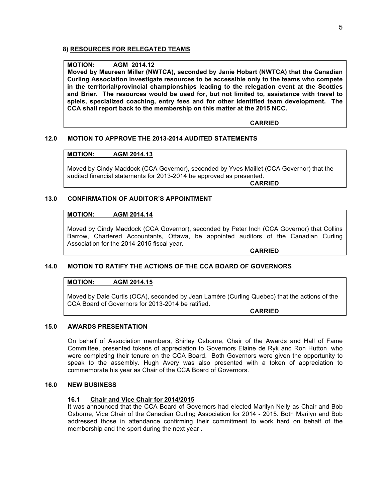# **8) RESOURCES FOR RELEGATED TEAMS**

#### **MOTION: AGM 2014.12**

**Moved by Maureen Miller (NWTCA), seconded by Janie Hobart (NWTCA) that the Canadian Curling Association investigate resources to be accessible only to the teams who compete in the territorial/provincial championships leading to the relegation event at the Scotties and Brier. The resources would be used for, but not limited to, assistance with travel to spiels, specialized coaching, entry fees and for other identified team development. The CCA shall report back to the membership on this matter at the 2015 NCC.**

**CARRIED** 

#### **12.0 MOTION TO APPROVE THE 2013-2014 AUDITED STATEMENTS**

#### **MOTION: AGM 2014.13**

Moved by Cindy Maddock (CCA Governor), seconded by Yves Maillet (CCA Governor) that the audited financial statements for 2013-2014 be approved as presented.

**CARRIED**

#### **13.0 CONFIRMATION OF AUDITOR'S APPOINTMENT**

#### **MOTION: AGM 2014.14**

Moved by Cindy Maddock (CCA Governor), seconded by Peter Inch (CCA Governor) that Collins Barrow, Chartered Accountants, Ottawa, be appointed auditors of the Canadian Curling Association for the 2014-2015 fiscal year.

**CARRIED**

#### **14.0 MOTION TO RATIFY THE ACTIONS OF THE CCA BOARD OF GOVERNORS**

# **MOTION: AGM 2014.15**

Moved by Dale Curtis (OCA), seconded by Jean Lamère (Curling Quebec) that the actions of the CCA Board of Governors for 2013-2014 be ratified.

**CARRIED**

#### **15.0 AWARDS PRESENTATION**

On behalf of Association members, Shirley Osborne, Chair of the Awards and Hall of Fame Committee, presented tokens of appreciation to Governors Elaine de Ryk and Ron Hutton, who were completing their tenure on the CCA Board. Both Governors were given the opportunity to speak to the assembly. Hugh Avery was also presented with a token of appreciation to commemorate his year as Chair of the CCA Board of Governors.

#### **16.0 NEW BUSINESS**

#### **16.1 Chair and Vice Chair for 2014/2015**

It was announced that the CCA Board of Governors had elected Marilyn Neily as Chair and Bob Osborne, Vice Chair of the Canadian Curling Association for 2014 - 2015. Both Marilyn and Bob addressed those in attendance confirming their commitment to work hard on behalf of the membership and the sport during the next year .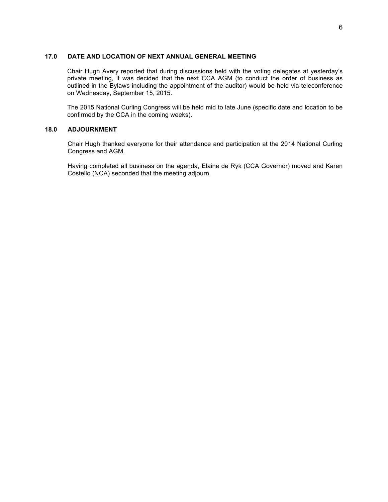#### **17.0 DATE AND LOCATION OF NEXT ANNUAL GENERAL MEETING**

Chair Hugh Avery reported that during discussions held with the voting delegates at yesterday's private meeting, it was decided that the next CCA AGM (to conduct the order of business as outlined in the Bylaws including the appointment of the auditor) would be held via teleconference on Wednesday, September 15, 2015.

The 2015 National Curling Congress will be held mid to late June (specific date and location to be confirmed by the CCA in the coming weeks).

### **18.0 ADJOURNMENT**

Chair Hugh thanked everyone for their attendance and participation at the 2014 National Curling Congress and AGM.

Having completed all business on the agenda, Elaine de Ryk (CCA Governor) moved and Karen Costello (NCA) seconded that the meeting adjourn.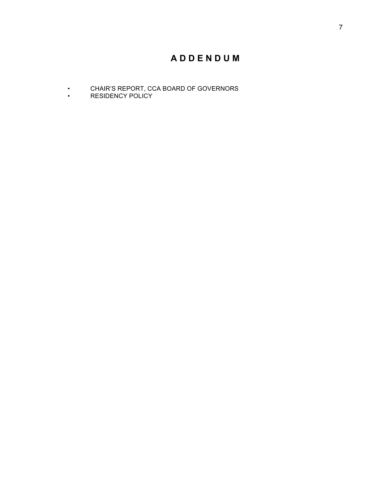# **A D D E N D U M**

- CHAIR'S REPORT, CCA BOARD OF GOVERNORS
- RESIDENCY POLICY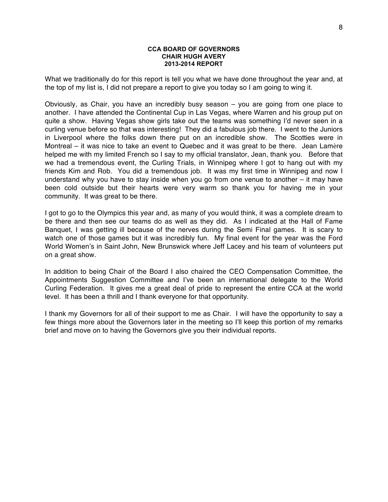#### **CCA BOARD OF GOVERNORS CHAIR HUGH AVERY 2013-2014 REPORT**

What we traditionally do for this report is tell you what we have done throughout the year and, at the top of my list is, I did not prepare a report to give you today so I am going to wing it.

Obviously, as Chair, you have an incredibly busy season – you are going from one place to another. I have attended the Continental Cup in Las Vegas, where Warren and his group put on quite a show. Having Vegas show girls take out the teams was something I'd never seen in a curling venue before so that was interesting! They did a fabulous job there. I went to the Juniors in Liverpool where the folks down there put on an incredible show. The Scotties were in Montreal – it was nice to take an event to Quebec and it was great to be there. Jean Lamère helped me with my limited French so I say to my official translator, Jean, thank you. Before that we had a tremendous event, the Curling Trials, in Winnipeg where I got to hang out with my friends Kim and Rob. You did a tremendous job. It was my first time in Winnipeg and now I understand why you have to stay inside when you go from one venue to another – it may have been cold outside but their hearts were very warm so thank you for having me in your community. It was great to be there.

I got to go to the Olympics this year and, as many of you would think, it was a complete dream to be there and then see our teams do as well as they did. As I indicated at the Hall of Fame Banquet, I was getting ill because of the nerves during the Semi Final games. It is scary to watch one of those games but it was incredibly fun. My final event for the year was the Ford World Women's in Saint John, New Brunswick where Jeff Lacey and his team of volunteers put on a great show.

In addition to being Chair of the Board I also chaired the CEO Compensation Committee, the Appointments Suggestion Committee and I've been an international delegate to the World Curling Federation. It gives me a great deal of pride to represent the entire CCA at the world level. It has been a thrill and I thank everyone for that opportunity.

I thank my Governors for all of their support to me as Chair. I will have the opportunity to say a few things more about the Governors later in the meeting so I'll keep this portion of my remarks brief and move on to having the Governors give you their individual reports.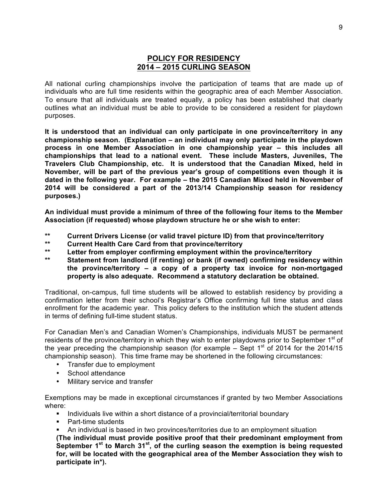# **POLICY FOR RESIDENCY 2014 – 2015 CURLING SEASON**

All national curling championships involve the participation of teams that are made up of individuals who are full time residents within the geographic area of each Member Association. To ensure that all individuals are treated equally, a policy has been established that clearly outlines what an individual must be able to provide to be considered a resident for playdown purposes.

**It is understood that an individual can only participate in one province/territory in any championship season. (Explanation – an individual may only participate in the playdown process in one Member Association in one championship year – this includes all championships that lead to a national event. These include Masters, Juveniles, The Travelers Club Championship, etc. It is understood that the Canadian Mixed, held in November, will be part of the previous year's group of competitions even though it is dated in the following year. For example – the 2015 Canadian Mixed held in November of 2014 will be considered a part of the 2013/14 Championship season for residency purposes.)**

**An individual must provide a minimum of three of the following four items to the Member Association (if requested) whose playdown structure he or she wish to enter:**

- **\*\* Current Drivers License (or valid travel picture ID) from that province/territory**
- **\*\* Current Health Care Card from that province/territory**
- **\*\* Letter from employer confirming employment within the province/territory**
- **\*\* Statement from landlord (if renting) or bank (if owned) confirming residency within the province/territory – a copy of a property tax invoice for non-mortgaged property is also adequate. Recommend a statutory declaration be obtained.**

Traditional, on-campus, full time students will be allowed to establish residency by providing a confirmation letter from their school's Registrar's Office confirming full time status and class enrollment for the academic year. This policy defers to the institution which the student attends in terms of defining full-time student status.

For Canadian Men's and Canadian Women's Championships, individuals MUST be permanent residents of the province/territory in which they wish to enter playdowns prior to September 1<sup>st</sup> of the year preceding the championship season (for example  $-$  Sept 1<sup>st</sup> of 2014 for the 2014/15 championship season). This time frame may be shortened in the following circumstances:

- Transfer due to employment
- School attendance
- Military service and transfer

Exemptions may be made in exceptional circumstances if granted by two Member Associations where:

- Individuals live within a short distance of a provincial/territorial boundary
- Part-time students
- An individual is based in two provinces/territories due to an employment situation

**(The individual must provide positive proof that their predominant employment from September 1st to March 31st, of the curling season the exemption is being requested for, will be located with the geographical area of the Member Association they wish to participate in\*).**